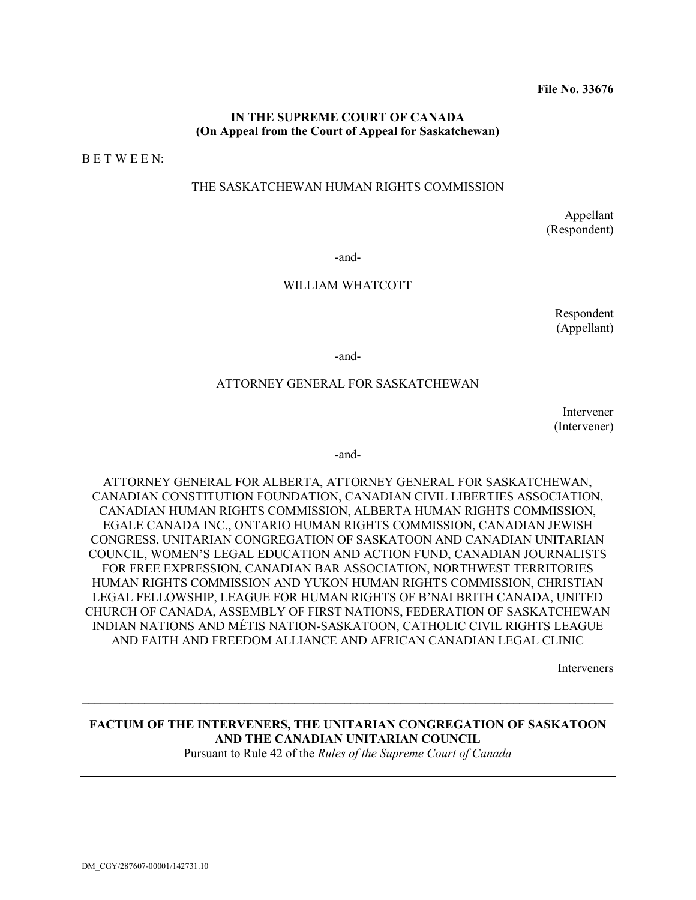#### **IN THE SUPREME COURT OF CANADA (On Appeal from the Court of Appeal for Saskatchewan)**

B E T W E E N:

#### THE SASKATCHEWAN HUMAN RIGHTS COMMISSION

Appellant (Respondent)

-and-

#### WILLIAM WHATCOTT

Respondent (Appellant)

-and-

#### ATTORNEY GENERAL FOR SASKATCHEWAN

Intervener (Intervener)

-and-

ATTORNEY GENERAL FOR ALBERTA, ATTORNEY GENERAL FOR SASKATCHEWAN, CANADIAN CONSTITUTION FOUNDATION, CANADIAN CIVIL LIBERTIES ASSOCIATION, CANADIAN HUMAN RIGHTS COMMISSION, ALBERTA HUMAN RIGHTS COMMISSION, EGALE CANADA INC., ONTARIO HUMAN RIGHTS COMMISSION, CANADIAN JEWISH CONGRESS, UNITARIAN CONGREGATION OF SASKATOON AND CANADIAN UNITARIAN COUNCIL, WOMEN'S LEGAL EDUCATION AND ACTION FUND, CANADIAN JOURNALISTS FOR FREE EXPRESSION, CANADIAN BAR ASSOCIATION, NORTHWEST TERRITORIES HUMAN RIGHTS COMMISSION AND YUKON HUMAN RIGHTS COMMISSION, CHRISTIAN LEGAL FELLOWSHIP, LEAGUE FOR HUMAN RIGHTS OF B'NAI BRITH CANADA, UNITED CHURCH OF CANADA, ASSEMBLY OF FIRST NATIONS, FEDERATION OF SASKATCHEWAN INDIAN NATIONS AND MÉTIS NATION-SASKATOON, CATHOLIC CIVIL RIGHTS LEAGUE AND FAITH AND FREEDOM ALLIANCE AND AFRICAN CANADIAN LEGAL CLINIC

Interveners

## **FACTUM OF THE INTERVENERS, THE UNITARIAN CONGREGATION OF SASKATOON AND THE CANADIAN UNITARIAN COUNCIL**

**\_\_\_\_\_\_\_\_\_\_\_\_\_\_\_\_\_\_\_\_\_\_\_\_\_\_\_\_\_\_\_\_\_\_\_\_\_\_\_\_\_\_\_\_\_\_\_\_\_\_\_\_\_\_\_\_\_\_\_\_\_\_\_\_\_\_\_\_\_\_\_\_\_\_\_\_\_\_\_\_\_\_\_\_\_**

Pursuant to Rule 42 of the *Rules of the Supreme Court of Canada*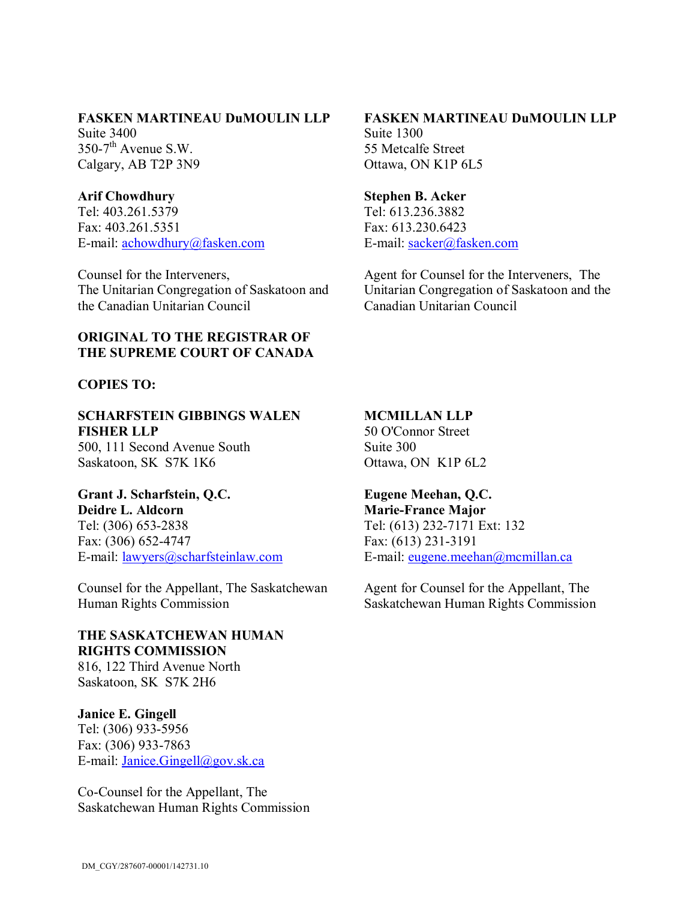#### **FASKEN MARTINEAU DuMOULIN LLP**

Suite 3400  $350-7$ <sup>th</sup> Avenue S.W. Calgary, AB T2P 3N9

## **Arif Chowdhury**

Tel: 403.261.5379 Fax: 403.261.5351 E-mail: [achowdhury@fasken.com](mailto:achowdhury@fasken.com)

Counsel for the Interveners, The Unitarian Congregation of Saskatoon and the Canadian Unitarian Council

## **ORIGINAL TO THE REGISTRAR OF THE SUPREME COURT OF CANADA**

### **COPIES TO:**

## **SCHARFSTEIN GIBBINGS WALEN FISHER LLP**

500, 111 Second Avenue South Saskatoon, SK S7K 1K6

## **Grant J. Scharfstein, Q.C.**

**Deidre L. Aldcorn** Tel: (306) 653-2838 Fax: (306) 652-4747 E-mail: [lawyers@scharfsteinlaw.com](mailto:lawyers@scharfsteinlaw.com)

Counsel for the Appellant, The Saskatchewan Human Rights Commission

# **THE SASKATCHEWAN HUMAN RIGHTS COMMISSION**

816, 122 Third Avenue North Saskatoon, SK S7K 2H6

### **Janice E. Gingell**

Tel: (306) 933-5956 Fax: (306) 933-7863 E-mail: [Janice.Gingell@gov.sk.ca](mailto:Janice.Gingell@gov.sk.ca)

Co-Counsel for the Appellant, The Saskatchewan Human Rights Commission

# **FASKEN MARTINEAU DuMOULIN LLP**

Suite 1300 55 Metcalfe Street Ottawa, ON K1P 6L5

#### **Stephen B. Acker**

Tel: 613.236.3882 Fax: 613.230.6423 E-mail: [sacker@fasken.com](mailto:sacker@fasken.com)

Agent for Counsel for the Interveners, The Unitarian Congregation of Saskatoon and the Canadian Unitarian Council

### **MCMILLAN LLP**

50 O'Connor Street Suite 300 Ottawa, ON K1P 6L2

# **Eugene Meehan, Q.C.**

**Marie-France Major** Tel: (613) 232-7171 Ext: 132 Fax: (613) 231-3191 E-mail: [eugene.meehan@mcmillan.ca](mailto:eugene.meehan@mcmillan.ca)

Agent for Counsel for the Appellant, The Saskatchewan Human Rights Commission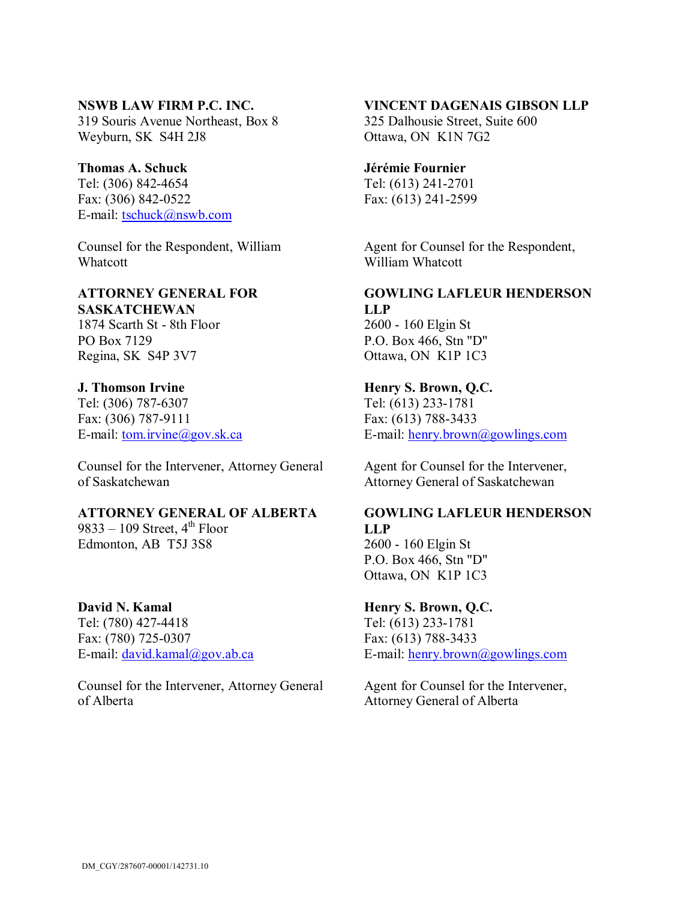#### **NSWB LAW FIRM P.C. INC.**

319 Souris Avenue Northeast, Box 8 Weyburn, SK S4H 2J8

## **Thomas A. Schuck**

Tel: (306) 842-4654 Fax: (306) 842-0522 E-mail: [tschuck@nswb.com](mailto:tschuck@nswb.com)

Counsel for the Respondent, William Whatcott

#### **ATTORNEY GENERAL FOR SASKATCHEWAN**

1874 Scarth St - 8th Floor PO Box 7129 Regina, SK S4P 3V7

### **J. Thomson Irvine**

Tel: (306) 787-6307 Fax: (306) 787-9111 E-mail: [tom.irvine@gov.sk.ca](mailto:tom.irvine@gov.sk.ca)

Counsel for the Intervener, Attorney General of Saskatchewan

## **ATTORNEY GENERAL OF ALBERTA**

9833 – 109 Street, 4<sup>th</sup> Floor Edmonton, AB T5J 3S8

#### **David N. Kamal**

Tel: (780) 427-4418 Fax: (780) 725-0307 E-mail: [david.kamal@gov.ab.ca](mailto:david.kamal@gov.ab.ca)

Counsel for the Intervener, Attorney General of Alberta

#### **VINCENT DAGENAIS GIBSON LLP**

325 Dalhousie Street, Suite 600 Ottawa, ON K1N 7G2

## **Jérémie Fournier**

Tel: (613) 241-2701 Fax: (613) 241-2599

Agent for Counsel for the Respondent, William Whatcott

#### **GOWLING LAFLEUR HENDERSON LLP** 2600 - 160 Elgin St

P.O. Box 466, Stn "D" Ottawa, ON K1P 1C3

### **Henry S. Brown, Q.C.**

Tel: (613) 233-1781 Fax: (613) 788-3433 E-mail: [henry.brown@gowlings.com](mailto:henry.brown@gowlings.com)

Agent for Counsel for the Intervener, Attorney General of Saskatchewan

## **GOWLING LAFLEUR HENDERSON LLP**

2600 - 160 Elgin St P.O. Box 466, Stn "D" Ottawa, ON K1P 1C3

#### **Henry S. Brown, Q.C.**

Tel: (613) 233-1781 Fax: (613) 788-3433 E-mail: [henry.brown@gowlings.com](mailto:henry.brown@gowlings.com)

Agent for Counsel for the Intervener, Attorney General of Alberta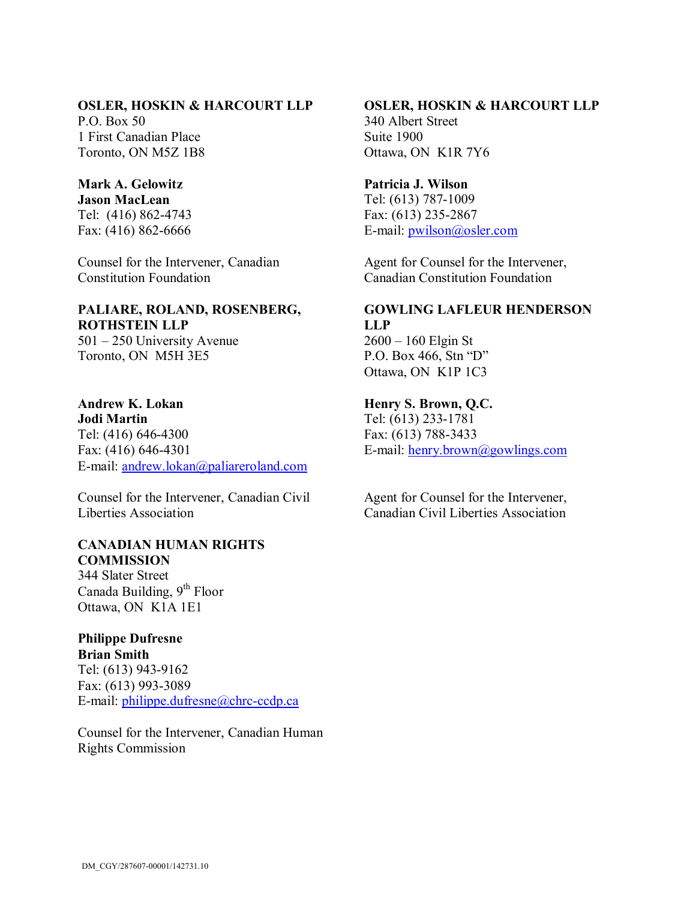## **OSLER, HOSKIN & HARCOURT LLP**

 $P$  O. Box 50. 1 First Canadian Place Toronto, ON M5Z 1B8

## **Mark A. Gelowitz**

**Jason MacLean** Tel: (416) 862-4743 Fax: (416) 862-6666

Counsel for the Intervener, Canadian Constitution Foundation

#### **PALIARE, ROLAND, ROSENBERG, ROTHSTEIN LLP** 501 – 250 University Avenue

Toronto, ON M5H 3E5

#### **Andrew K. Lokan Jodi Martin** Tel: (416) 646-4300 Fax: (416) 646-4301

E-mail: [andrew.lokan@paliareroland.com](mailto:andrew.lokan@paliareroland.com)

Counsel for the Intervener, Canadian Civil Liberties Association

#### **CANADIAN HUMAN RIGHTS COMMISSION**

344 Slater Street Canada Building, 9<sup>th</sup> Floor Ottawa, ON K1A 1E1

# **Philippe Dufresne**

**Brian Smith** Tel: (613) 943-9162 Fax: (613) 993-3089 E-mail: [philippe.dufresne@chrc-ccdp.ca](mailto:philippe.dufresne@chrc-ccdp.ca)

Counsel for the Intervener, Canadian Human Rights Commission

# **OSLER, HOSKIN & HARCOURT LLP**

340 Albert Street Suite 1900 Ottawa, ON K1R 7Y6

### **Patricia J. Wilson**

Tel: (613) 787-1009 Fax: (613) 235-2867 E-mail: [pwilson@osler.com](mailto:pwilson@osler.com)

Agent for Counsel for the Intervener, Canadian Constitution Foundation

# **GOWLING LAFLEUR HENDERSON LLP**

2600 – 160 Elgin St P.O. Box 466, Stn "D" Ottawa, ON K1P 1C3

## **Henry S. Brown, Q.C.**

Tel: (613) 233-1781 Fax: (613) 788-3433 E-mail: [henry.brown@gowlings.com](mailto:henry.brown@gowlings.com)

Agent for Counsel for the Intervener, Canadian Civil Liberties Association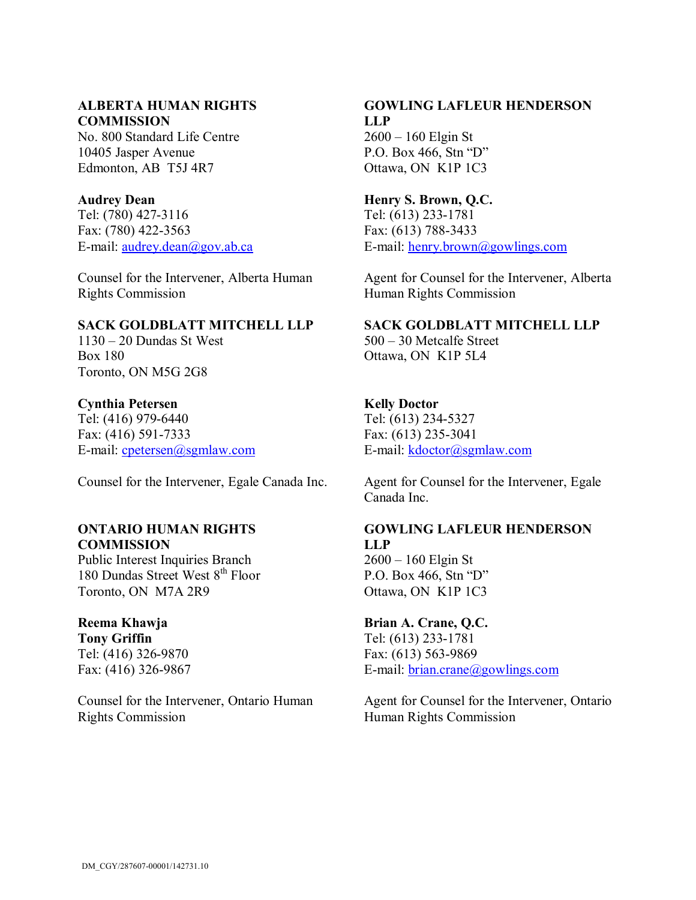#### **ALBERTA HUMAN RIGHTS COMMISSION**

No. 800 Standard Life Centre 10405 Jasper Avenue Edmonton, AB T5J 4R7

#### **Audrey Dean**

Tel: (780) 427-3116 Fax: (780) 422-3563 E-mail: [audrey.dean@gov.ab.ca](mailto:audrey.dean@gov.ab.ca)

Counsel for the Intervener, Alberta Human Rights Commission

### **SACK GOLDBLATT MITCHELL LLP**

1130 – 20 Dundas St West Box 180 Toronto, ON M5G 2G8

### **Cynthia Petersen**

Tel: (416) 979-6440 Fax: (416) 591-7333 E-mail: [cpetersen@sgmlaw.com](mailto:cpetersen@sgmlaw.com)

## **ONTARIO HUMAN RIGHTS COMMISSION**

Public Interest Inquiries Branch 180 Dundas Street West 8<sup>th</sup> Floor Toronto, ON M7A 2R9

# **Reema Khawja**

**Tony Griffin** Tel: (416) 326-9870 Fax: (416) 326-9867

Counsel for the Intervener, Ontario Human Rights Commission

## **GOWLING LAFLEUR HENDERSON LLP** 2600 – 160 Elgin St

P.O. Box 466, Stn "D" Ottawa, ON K1P 1C3

## **Henry S. Brown, Q.C.**

Tel: (613) 233-1781 Fax: (613) 788-3433 E-mail: [henry.brown@gowlings.com](mailto:henry.brown@gowlings.com)

Agent for Counsel for the Intervener, Alberta Human Rights Commission

## **SACK GOLDBLATT MITCHELL LLP**

500 – 30 Metcalfe Street Ottawa, ON K1P 5L4

### **Kelly Doctor**

Tel: (613) 234-5327 Fax: (613) 235-3041 E-mail: [kdoctor@sgmlaw.com](mailto:kdoctor@sgmlaw.com)

Counsel for the Intervener, Egale Canada Inc. Agent for Counsel for the Intervener, Egale Canada Inc.

# **GOWLING LAFLEUR HENDERSON LLP**

2600 – 160 Elgin St P.O. Box 466, Stn "D" Ottawa, ON K1P 1C3

## **Brian A. Crane, Q.C.** Tel: (613) 233-1781 Fax: (613) 563-9869

E-mail: [brian.crane@gowlings.com](mailto:brian.crane@gowlings.com)

Agent for Counsel for the Intervener, Ontario Human Rights Commission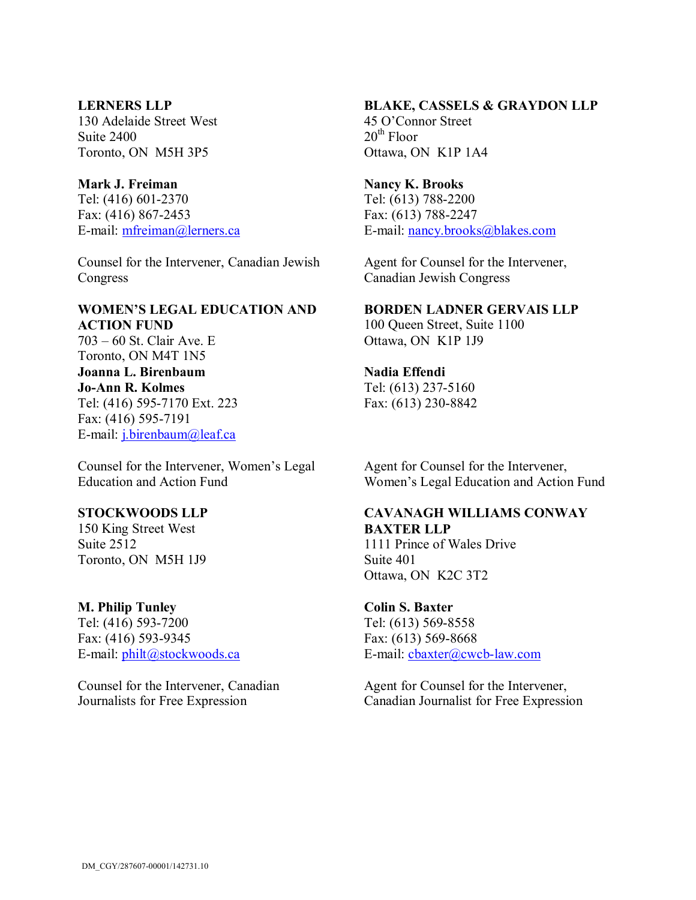#### **LERNERS LLP**

130 Adelaide Street West Suite 2400 Toronto, ON M5H 3P5

#### **Mark J. Freiman**

Tel: (416) 601-2370 Fax: (416) 867-2453 E-mail: [mfreiman@lerners.ca](mailto:mfreiman@lerners.ca)

Counsel for the Intervener, Canadian Jewish Congress

#### **WOMEN'S LEGAL EDUCATION AND ACTION FUND** 703 – 60 St. Clair Ave. E

Toronto, ON M4T 1N5 **Joanna L. Birenbaum Jo-Ann R. Kolmes** Tel: (416) 595-7170 Ext. 223 Fax: (416) 595-7191 E-mail: [j.birenbaum@leaf.ca](mailto:j.birenbaum@leaf.ca)

Counsel for the Intervener, Women's Legal Education and Action Fund

## **STOCKWOODS LLP**

150 King Street West Suite 2512 Toronto, ON M5H 1J9

### **M. Philip Tunley**

Tel: (416) 593-7200 Fax: (416) 593-9345 E-mail: [philt@stockwoods.ca](mailto:philt@stockwoods.ca)

Counsel for the Intervener, Canadian Journalists for Free Expression

## **BLAKE, CASSELS & GRAYDON LLP**

45 O'Connor Street  $20^{th}$  Floor Ottawa, ON K1P 1A4

#### **Nancy K. Brooks**

Tel: (613) 788-2200 Fax: (613) 788-2247 E-mail: [nancy.brooks@blakes.com](mailto:nancy.brooks@blakes.com)

Agent for Counsel for the Intervener, Canadian Jewish Congress

#### **BORDEN LADNER GERVAIS LLP**

100 Queen Street, Suite 1100 Ottawa, ON K1P 1J9

### **Nadia Effendi**

Tel: (613) 237-5160 Fax: (613) 230-8842

Agent for Counsel for the Intervener, Women's Legal Education and Action Fund

## **CAVANAGH WILLIAMS CONWAY BAXTER LLP**

1111 Prince of Wales Drive Suite 401 Ottawa, ON K2C 3T2

# **Colin S. Baxter**

Tel: (613) 569-8558 Fax: (613) 569-8668 E-mail: [cbaxter@cwcb-law.com](mailto:cbaxter@cwcb-law.com)

Agent for Counsel for the Intervener, Canadian Journalist for Free Expression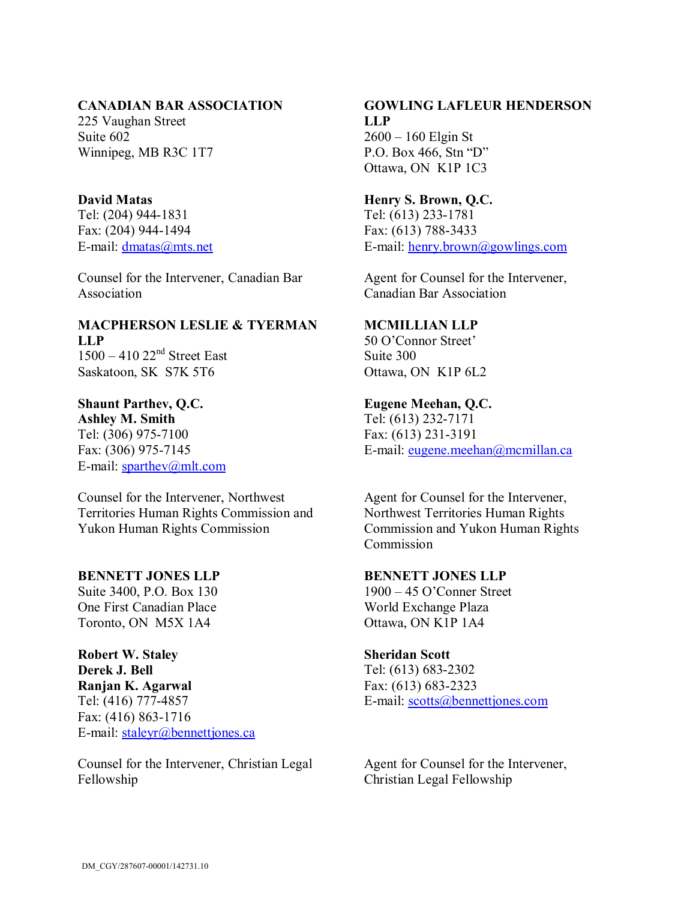#### **CANADIAN BAR ASSOCIATION**

225 Vaughan Street Suite 602 Winnipeg, MB R3C 1T7

## **David Matas**

Tel: (204) 944-1831 Fax: (204) 944-1494 E-mail: [dmatas@mts.net](mailto:dmatas@mts.net)

Counsel for the Intervener, Canadian Bar Association

## **MACPHERSON LESLIE & TYERMAN LLP** 1500 - 410 22<sup>nd</sup> Street East

Saskatoon, SK S7K 5T6

# **Shaunt Parthev, Q.C.**

**Ashley M. Smith** Tel: (306) 975-7100 Fax: (306) 975-7145 E-mail: [sparthev@mlt.com](mailto:sparthev@mlt.com)

Counsel for the Intervener, Northwest Territories Human Rights Commission and Yukon Human Rights Commission

## **BENNETT JONES LLP**

Suite 3400, P.O. Box 130 One First Canadian Place Toronto, ON M5X 1A4

## **Robert W. Staley Derek J. Bell Ranjan K. Agarwal** Tel: (416) 777-4857 Fax: (416) 863-1716 E-mail: [staleyr@bennettjones.ca](mailto:staleyr@bennettjones.ca)

Counsel for the Intervener, Christian Legal Fellowship

## **GOWLING LAFLEUR HENDERSON LLP** 2600 – 160 Elgin St

P.O. Box 466, Stn "D" Ottawa, ON K1P 1C3

## **Henry S. Brown, Q.C.**

Tel: (613) 233-1781 Fax: (613) 788-3433 E-mail: [henry.brown@gowlings.com](mailto:henry.brown@gowlings.com)

Agent for Counsel for the Intervener, Canadian Bar Association

## **MCMILLIAN LLP**

50 O'Connor Street' Suite 300 Ottawa, ON K1P 6L2

### **Eugene Meehan, Q.C.**

Tel: (613) 232-7171 Fax: (613) 231-3191 E-mail: [eugene.meehan@mcmillan.ca](mailto:eugene.meehan@mcmillan.ca)

Agent for Counsel for the Intervener, Northwest Territories Human Rights Commission and Yukon Human Rights Commission

### **BENNETT JONES LLP**

1900 – 45 O'Conner Street World Exchange Plaza Ottawa, ON K1P 1A4

#### **Sheridan Scott**

Tel: (613) 683-2302 Fax: (613) 683-2323 E-mail: [scotts@bennettjones.com](mailto:scotts@bennettjones.com)

Agent for Counsel for the Intervener, Christian Legal Fellowship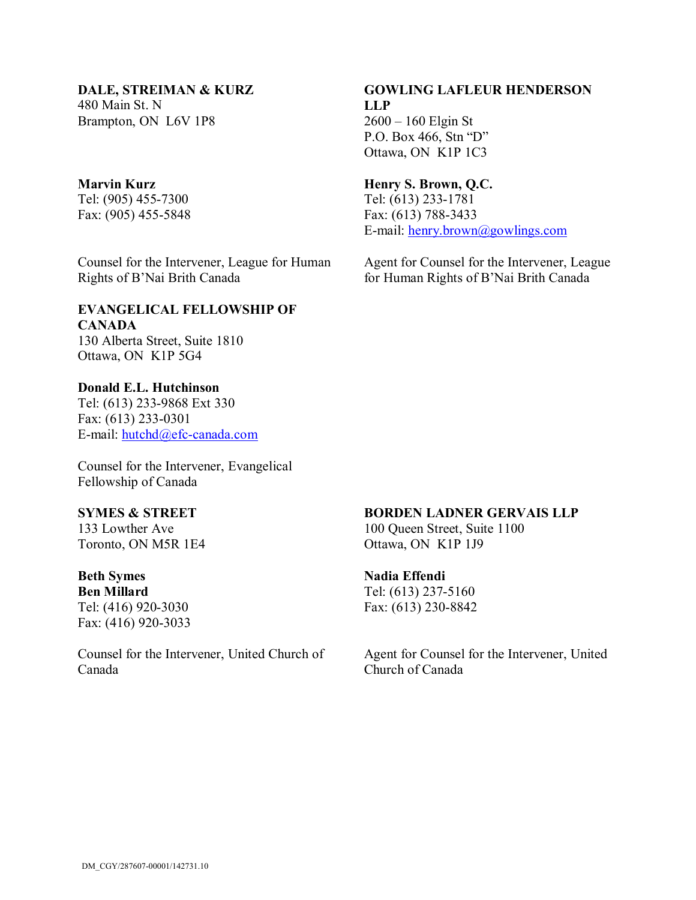**DALE, STREIMAN & KURZ** 480 Main St. N Brampton, ON L6V 1P8

#### **Marvin Kurz**

Tel: (905) 455-7300 Fax: (905) 455-5848

Counsel for the Intervener, League for Human Rights of B'Nai Brith Canada

### **EVANGELICAL FELLOWSHIP OF CANADA** 130 Alberta Street, Suite 1810 Ottawa, ON K1P 5G4

**Donald E.L. Hutchinson** Tel: (613) 233-9868 Ext 330 Fax: (613) 233-0301 E-mail: [hutchd@efc-canada.com](mailto:hutchd@efc-canada.com)

Counsel for the Intervener, Evangelical Fellowship of Canada

# **SYMES & STREET**

133 Lowther Ave Toronto, ON M5R 1E4

#### **Beth Symes**

**Ben Millard** Tel: (416) 920-3030 Fax: (416) 920-3033

Counsel for the Intervener, United Church of Canada

## **GOWLING LAFLEUR HENDERSON LLP** 2600 – 160 Elgin St P.O. Box 466, Stn "D" Ottawa, ON K1P 1C3

#### **Henry S. Brown, Q.C.**

Tel: (613) 233-1781 Fax: (613) 788-3433 E-mail: [henry.brown@gowlings.com](mailto:henry.brown@gowlings.com)

Agent for Counsel for the Intervener, League for Human Rights of B'Nai Brith Canada

#### **BORDEN LADNER GERVAIS LLP**

100 Queen Street, Suite 1100 Ottawa, ON K1P 1J9

## **Nadia Effendi**

Tel: (613) 237-5160 Fax: (613) 230-8842

Agent for Counsel for the Intervener, United Church of Canada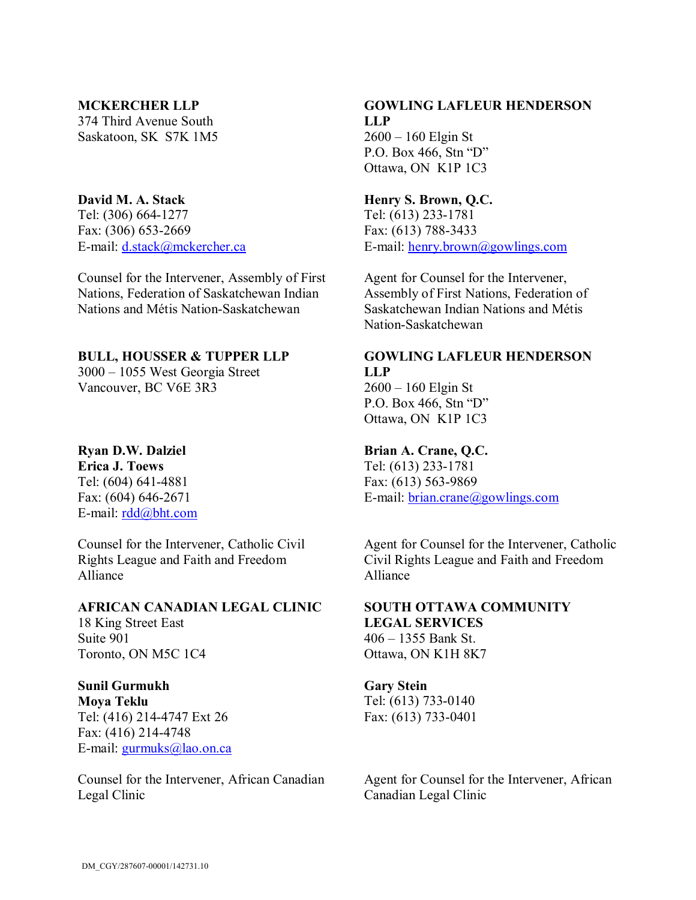#### **MCKERCHER LLP**

374 Third Avenue South Saskatoon, SK S7K 1M5

### **David M. A. Stack**

Tel: (306) 664-1277 Fax: (306) 653-2669 E-mail: [d.stack@mckercher.ca](mailto:d.stack@mckercher.ca)

Counsel for the Intervener, Assembly of First Nations, Federation of Saskatchewan Indian Nations and Métis Nation-Saskatchewan

## **BULL, HOUSSER & TUPPER LLP**

3000 – 1055 West Georgia Street Vancouver, BC V6E 3R3

## **Ryan D.W. Dalziel**

**Erica J. Toews** Tel: (604) 641-4881 Fax: (604) 646-2671 E-mail: [rdd@bht.com](mailto:rdd@bht.com)

Counsel for the Intervener, Catholic Civil Rights League and Faith and Freedom Alliance

#### **AFRICAN CANADIAN LEGAL CLINIC**

18 King Street East Suite 901 Toronto, ON M5C 1C4

**Sunil Gurmukh Moya Teklu** Tel: (416) 214-4747 Ext 26 Fax: (416) 214-4748 E-mail: [gurmuks@lao.on.ca](mailto:gurmuks@lao.on.ca)

Counsel for the Intervener, African Canadian Legal Clinic

## **GOWLING LAFLEUR HENDERSON LLP** 2600 – 160 Elgin St

P.O. Box 466, Stn "D" Ottawa, ON K1P 1C3

## **Henry S. Brown, Q.C.**

Tel: (613) 233-1781 Fax: (613) 788-3433 E-mail: [henry.brown@gowlings.com](mailto:henry.brown@gowlings.com)

Agent for Counsel for the Intervener, Assembly of First Nations, Federation of Saskatchewan Indian Nations and Métis Nation-Saskatchewan

# **GOWLING LAFLEUR HENDERSON LLP**

2600 – 160 Elgin St P.O. Box 466, Stn "D" Ottawa, ON K1P 1C3

## **Brian A. Crane, Q.C.**

Tel: (613) 233-1781 Fax: (613) 563-9869 E-mail: [brian.crane@gowlings.com](mailto:brian.crane@gowlings.com)

Agent for Counsel for the Intervener, Catholic Civil Rights League and Faith and Freedom Alliance

#### **SOUTH OTTAWA COMMUNITY LEGAL SERVICES**

406 – 1355 Bank St. Ottawa, ON K1H 8K7

### **Gary Stein**

Tel: (613) 733-0140 Fax: (613) 733-0401

Agent for Counsel for the Intervener, African Canadian Legal Clinic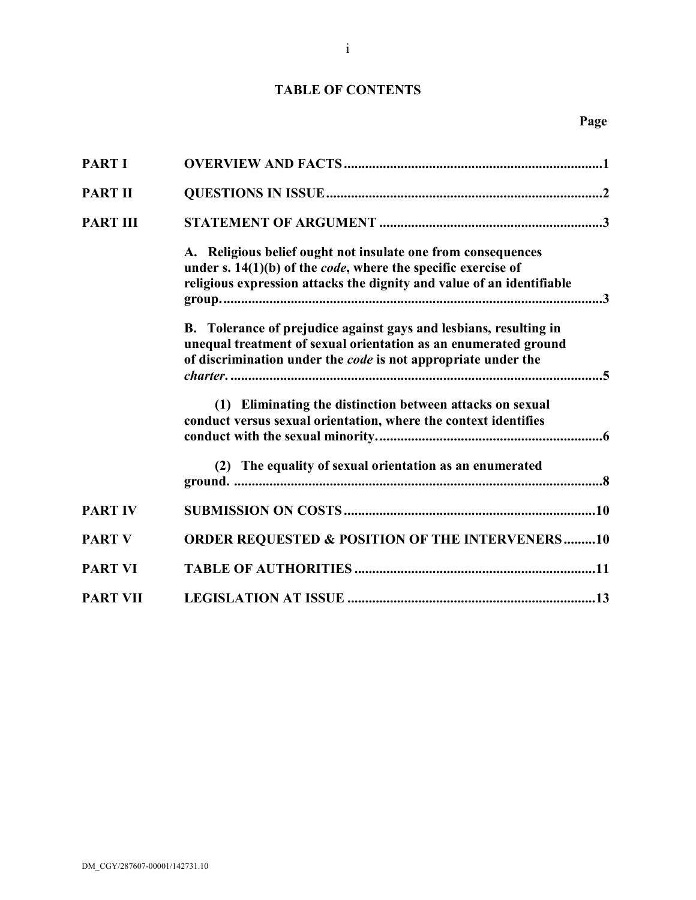# **TABLE OF CONTENTS**

| <b>PART I</b>   |                                                                                                                                                                                                                  |
|-----------------|------------------------------------------------------------------------------------------------------------------------------------------------------------------------------------------------------------------|
| <b>PART II</b>  |                                                                                                                                                                                                                  |
| <b>PART III</b> |                                                                                                                                                                                                                  |
|                 | A. Religious belief ought not insulate one from consequences<br>under s. $14(1)(b)$ of the <i>code</i> , where the specific exercise of<br>religious expression attacks the dignity and value of an identifiable |
|                 | B. Tolerance of prejudice against gays and lesbians, resulting in<br>unequal treatment of sexual orientation as an enumerated ground<br>of discrimination under the code is not appropriate under the            |
|                 | (1) Eliminating the distinction between attacks on sexual<br>conduct versus sexual orientation, where the context identifies                                                                                     |
|                 | (2) The equality of sexual orientation as an enumerated                                                                                                                                                          |
| <b>PART IV</b>  |                                                                                                                                                                                                                  |
| <b>PART V</b>   | <b>ORDER REQUESTED &amp; POSITION OF THE INTERVENERS10</b>                                                                                                                                                       |
| <b>PART VI</b>  |                                                                                                                                                                                                                  |
| <b>PART VII</b> |                                                                                                                                                                                                                  |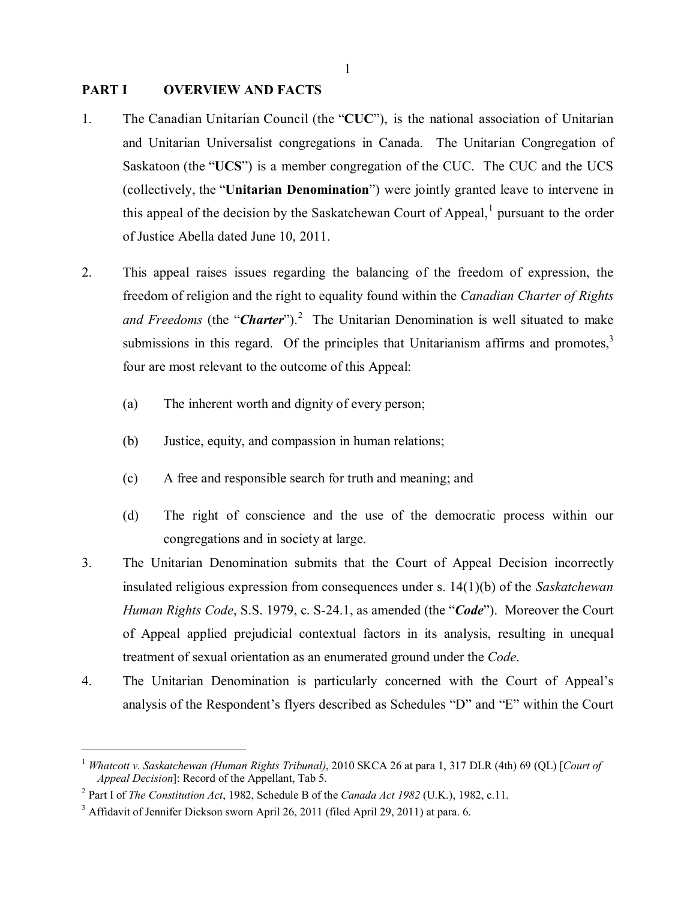#### **PART I OVERVIEW AND FACTS**

- 1. The Canadian Unitarian Council (the "**CUC**"), is the national association of Unitarian and Unitarian Universalist congregations in Canada. The Unitarian Congregation of Saskatoon (the "**UCS**") is a member congregation of the CUC. The CUC and the UCS (collectively, the "**Unitarian Denomination**") were jointly granted leave to intervene in this appeal of the decision by the Saskatchewan Court of Appeal, $<sup>1</sup>$  pursuant to the order</sup> of Justice Abella dated June 10, 2011.
- 2. This appeal raises issues regarding the balancing of the freedom of expression, the freedom of religion and the right to equality found within the *Canadian Charter of Rights and Freedoms* (the "*Charter*"). 2 The Unitarian Denomination is well situated to make submissions in this regard. Of the principles that Unitarianism affirms and promotes, $3$ four are most relevant to the outcome of this Appeal:
	- (a) The inherent worth and dignity of every person;
	- (b) Justice, equity, and compassion in human relations;
	- (c) A free and responsible search for truth and meaning; and
	- (d) The right of conscience and the use of the democratic process within our congregations and in society at large.
- 3. The Unitarian Denomination submits that the Court of Appeal Decision incorrectly insulated religious expression from consequences under s. 14(1)(b) of the *Saskatchewan Human Rights Code*, S.S. 1979, c. S-24.1, as amended (the "*Code*"). Moreover the Court of Appeal applied prejudicial contextual factors in its analysis, resulting in unequal treatment of sexual orientation as an enumerated ground under the *Code*.
- 4. The Unitarian Denomination is particularly concerned with the Court of Appeal's analysis of the Respondent's flyers described as Schedules "D" and "E" within the Court

<sup>1</sup> *Whatcott v. Saskatchewan (Human Rights Tribunal)*, 2010 SKCA 26 at para 1, 317 DLR (4th) 69 (QL) [*Court of Appeal Decision*]: Record of the Appellant, Tab 5.

<sup>2</sup> Part I of *The Constitution Act*, 1982, Schedule B of the *Canada Act 1982* (U.K.), 1982, c.11.

<sup>&</sup>lt;sup>3</sup> Affidavit of Jennifer Dickson sworn April 26, 2011 (filed April 29, 2011) at para. 6.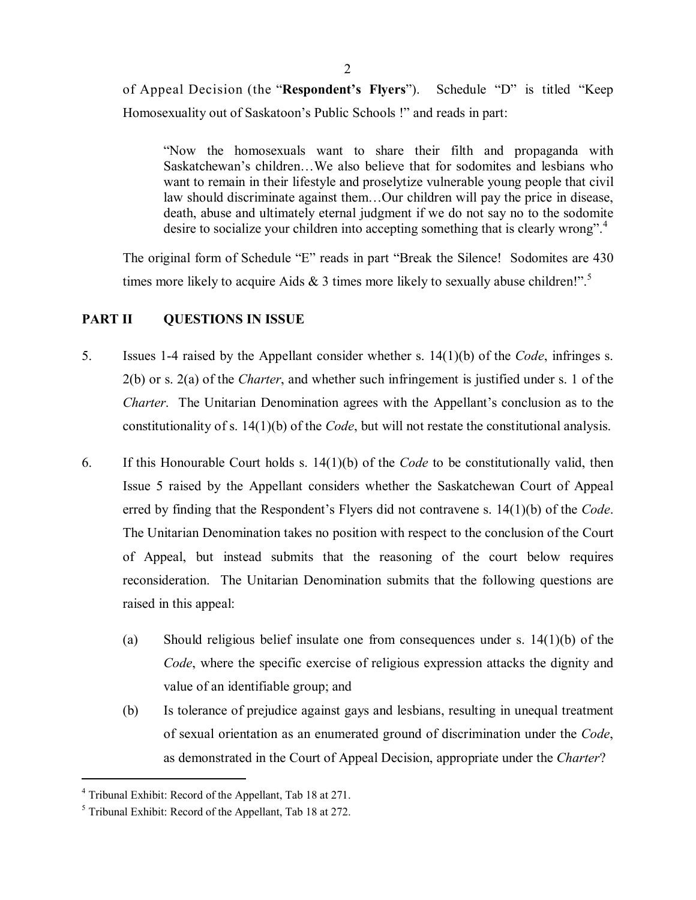of Appeal Decision (the "**Respondent's Flyers**"). Schedule "D" is titled "Keep Homosexuality out of Saskatoon's Public Schools !" and reads in part:

"Now the homosexuals want to share their filth and propaganda with Saskatchewan's children…We also believe that for sodomites and lesbians who want to remain in their lifestyle and proselytize vulnerable young people that civil law should discriminate against them…Our children will pay the price in disease, death, abuse and ultimately eternal judgment if we do not say no to the sodomite desire to socialize your children into accepting something that is clearly wrong".<sup>4</sup>

The original form of Schedule "E" reads in part "Break the Silence! Sodomites are 430 times more likely to acquire Aids  $\&$  3 times more likely to sexually abuse children!".<sup>5</sup>

## **PART II QUESTIONS IN ISSUE**

- 5. Issues 1-4 raised by the Appellant consider whether s. 14(1)(b) of the *Code*, infringes s. 2(b) or s. 2(a) of the *Charter*, and whether such infringement is justified under s. 1 of the *Charter*. The Unitarian Denomination agrees with the Appellant's conclusion as to the constitutionality of s. 14(1)(b) of the *Code*, but will not restate the constitutional analysis.
- 6. If this Honourable Court holds s. 14(1)(b) of the *Code* to be constitutionally valid, then Issue 5 raised by the Appellant considers whether the Saskatchewan Court of Appeal erred by finding that the Respondent's Flyers did not contravene s. 14(1)(b) of the *Code*. The Unitarian Denomination takes no position with respect to the conclusion of the Court of Appeal, but instead submits that the reasoning of the court below requires reconsideration. The Unitarian Denomination submits that the following questions are raised in this appeal:
	- (a) Should religious belief insulate one from consequences under s. 14(1)(b) of the *Code*, where the specific exercise of religious expression attacks the dignity and value of an identifiable group; and
	- (b) Is tolerance of prejudice against gays and lesbians, resulting in unequal treatment of sexual orientation as an enumerated ground of discrimination under the *Code*, as demonstrated in the Court of Appeal Decision, appropriate under the *Charter*?

<sup>4</sup> Tribunal Exhibit: Record of the Appellant, Tab 18 at 271.

 $<sup>5</sup>$  Tribunal Exhibit: Record of the Appellant, Tab 18 at 272.</sup>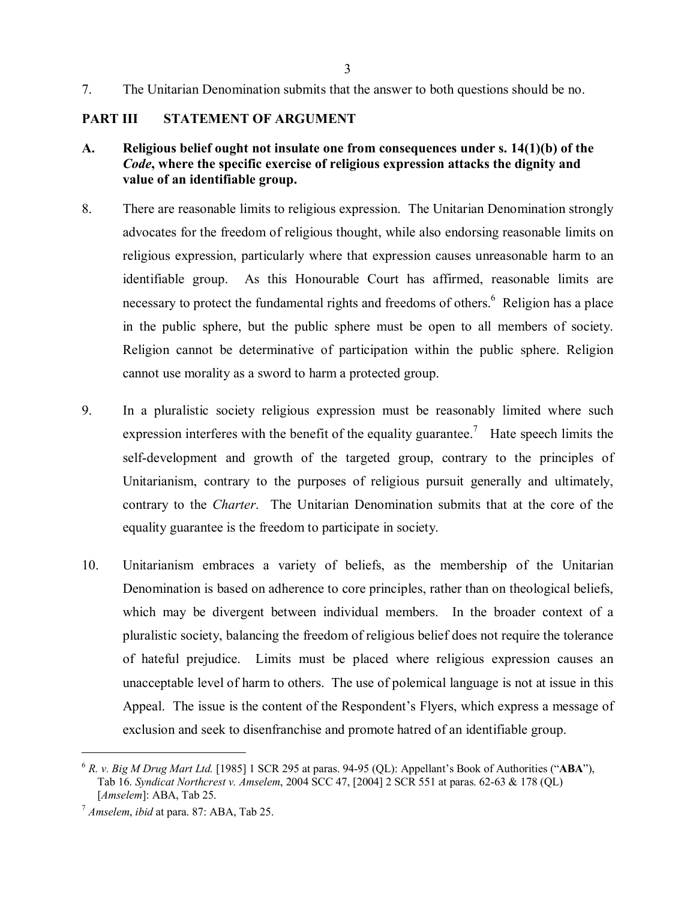7. The Unitarian Denomination submits that the answer to both questions should be no.

## **PART III STATEMENT OF ARGUMENT**

- **A. Religious belief ought not insulate one from consequences under s. 14(1)(b) of the** *Code***, where the specific exercise of religious expression attacks the dignity and value of an identifiable group.**
- 8. There are reasonable limits to religious expression. The Unitarian Denomination strongly advocates for the freedom of religious thought, while also endorsing reasonable limits on religious expression, particularly where that expression causes unreasonable harm to an identifiable group. As this Honourable Court has affirmed, reasonable limits are necessary to protect the fundamental rights and freedoms of others.<sup>6</sup> Religion has a place in the public sphere, but the public sphere must be open to all members of society. Religion cannot be determinative of participation within the public sphere. Religion cannot use morality as a sword to harm a protected group.
- 9. In a pluralistic society religious expression must be reasonably limited where such expression interferes with the benefit of the equality guarantee.<sup>7</sup> Hate speech limits the self-development and growth of the targeted group, contrary to the principles of Unitarianism, contrary to the purposes of religious pursuit generally and ultimately, contrary to the *Charter*. The Unitarian Denomination submits that at the core of the equality guarantee is the freedom to participate in society.
- 10. Unitarianism embraces a variety of beliefs, as the membership of the Unitarian Denomination is based on adherence to core principles, rather than on theological beliefs, which may be divergent between individual members. In the broader context of a pluralistic society, balancing the freedom of religious belief does not require the tolerance of hateful prejudice. Limits must be placed where religious expression causes an unacceptable level of harm to others. The use of polemical language is not at issue in this Appeal. The issue is the content of the Respondent's Flyers, which express a message of exclusion and seek to disenfranchise and promote hatred of an identifiable group.

<sup>6</sup> *R. v. Big M Drug Mart Ltd.* [1985] 1 SCR 295 at paras. 94-95 (QL): Appellant's Book of Authorities ("**ABA**"), Tab 16. *Syndicat Northcrest v. Amselem*, 2004 SCC 47, [2004] 2 SCR 551 at paras. 62-63 & 178 (QL) [*Amselem*]: ABA, Tab 25.

<sup>7</sup> *Amselem*, *ibid* at para. 87: ABA, Tab 25.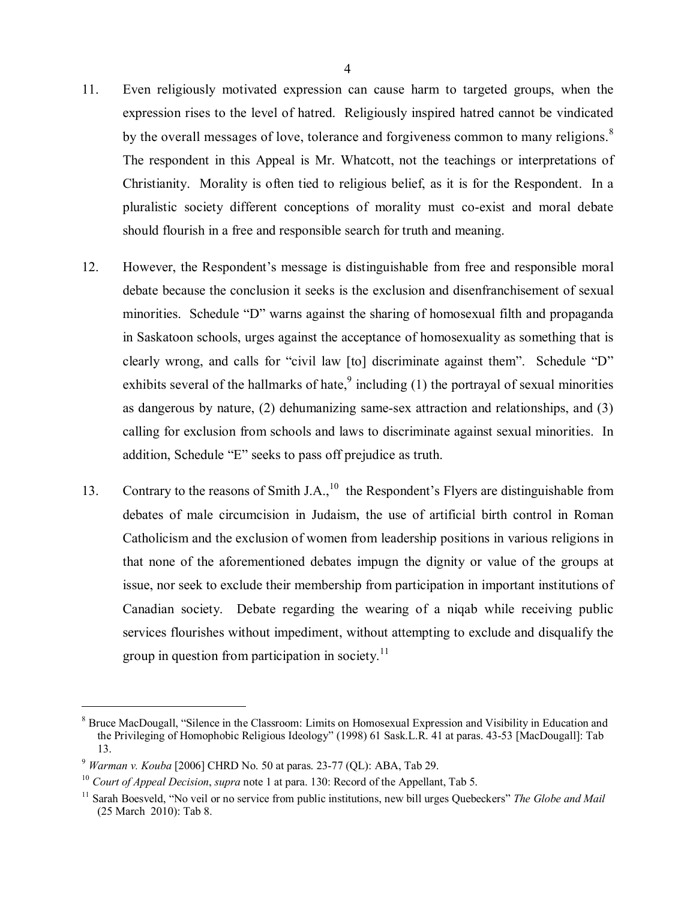- 11. Even religiously motivated expression can cause harm to targeted groups, when the expression rises to the level of hatred. Religiously inspired hatred cannot be vindicated by the overall messages of love, tolerance and forgiveness common to many religions.<sup>8</sup> The respondent in this Appeal is Mr. Whatcott, not the teachings or interpretations of Christianity. Morality is often tied to religious belief, as it is for the Respondent. In a pluralistic society different conceptions of morality must co-exist and moral debate should flourish in a free and responsible search for truth and meaning.
- 12. However, the Respondent's message is distinguishable from free and responsible moral debate because the conclusion it seeks is the exclusion and disenfranchisement of sexual minorities. Schedule "D" warns against the sharing of homosexual filth and propaganda in Saskatoon schools, urges against the acceptance of homosexuality as something that is clearly wrong, and calls for "civil law [to] discriminate against them". Schedule "D" exhibits several of the hallmarks of hate, $\frac{9}{2}$  including (1) the portrayal of sexual minorities as dangerous by nature, (2) dehumanizing same-sex attraction and relationships, and (3) calling for exclusion from schools and laws to discriminate against sexual minorities. In addition, Schedule "E" seeks to pass off prejudice as truth.
- 13. Contrary to the reasons of Smith J.A.,  $^{10}$  the Respondent's Flyers are distinguishable from debates of male circumcision in Judaism, the use of artificial birth control in Roman Catholicism and the exclusion of women from leadership positions in various religions in that none of the aforementioned debates impugn the dignity or value of the groups at issue, nor seek to exclude their membership from participation in important institutions of Canadian society. Debate regarding the wearing of a niqab while receiving public services flourishes without impediment, without attempting to exclude and disqualify the group in question from participation in society.<sup>11</sup>

<sup>&</sup>lt;sup>8</sup> Bruce MacDougall, "Silence in the Classroom: Limits on Homosexual Expression and Visibility in Education and the Privileging of Homophobic Religious Ideology" (1998) 61 Sask.L.R. 41 at paras. 43-53 [MacDougall]: Tab 13.

<sup>9</sup> *Warman v. Kouba* [2006] CHRD No. 50 at paras. 23-77 (QL): ABA, Tab 29.

<sup>10</sup> *Court of Appeal Decision*, *supra* note 1 at para. 130: Record of the Appellant, Tab 5.

<sup>11</sup> Sarah Boesveld, "No veil or no service from public institutions, new bill urges Quebeckers" *The Globe and Mail* (25 March 2010): Tab 8.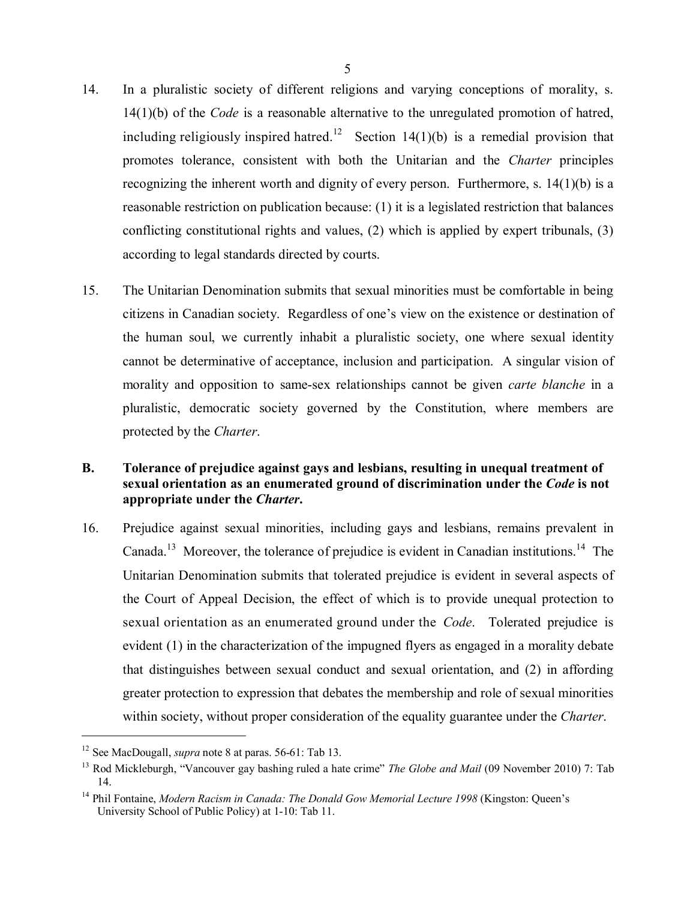- 14. In a pluralistic society of different religions and varying conceptions of morality, s. 14(1)(b) of the *Code* is a reasonable alternative to the unregulated promotion of hatred, including religiously inspired hatred.<sup>12</sup> Section 14(1)(b) is a remedial provision that promotes tolerance, consistent with both the Unitarian and the *Charter* principles recognizing the inherent worth and dignity of every person. Furthermore, s. 14(1)(b) is a reasonable restriction on publication because: (1) it is a legislated restriction that balances conflicting constitutional rights and values, (2) which is applied by expert tribunals, (3) according to legal standards directed by courts.
- 15. The Unitarian Denomination submits that sexual minorities must be comfortable in being citizens in Canadian society. Regardless of one's view on the existence or destination of the human soul, we currently inhabit a pluralistic society, one where sexual identity cannot be determinative of acceptance, inclusion and participation. A singular vision of morality and opposition to same-sex relationships cannot be given *carte blanche* in a pluralistic, democratic society governed by the Constitution, where members are protected by the *Charter*.

## **B. Tolerance of prejudice against gays and lesbians, resulting in unequal treatment of sexual orientation as an enumerated ground of discrimination under the** *Code* **is not appropriate under the** *Charter***.**

16. Prejudice against sexual minorities, including gays and lesbians, remains prevalent in Canada.<sup>13</sup> Moreover, the tolerance of prejudice is evident in Canadian institutions.<sup>14</sup> The Unitarian Denomination submits that tolerated prejudice is evident in several aspects of the Court of Appeal Decision, the effect of which is to provide unequal protection to sexual orientation as an enumerated ground under the *Code*. Tolerated prejudice is evident (1) in the characterization of the impugned flyers as engaged in a morality debate that distinguishes between sexual conduct and sexual orientation, and (2) in affording greater protection to expression that debates the membership and role of sexual minorities within society, without proper consideration of the equality guarantee under the *Charter*.

<sup>&</sup>lt;sup>12</sup> See MacDougall, *supra* note 8 at paras. 56-61: Tab 13.

<sup>&</sup>lt;sup>13</sup> Rod Mickleburgh, "Vancouver gay bashing ruled a hate crime" *The Globe and Mail* (09 November 2010) 7: Tab 14.

<sup>&</sup>lt;sup>14</sup> Phil Fontaine, *Modern Racism in Canada: The Donald Gow Memorial Lecture 1998* (Kingston: Queen's University School of Public Policy) at 1-10: Tab 11.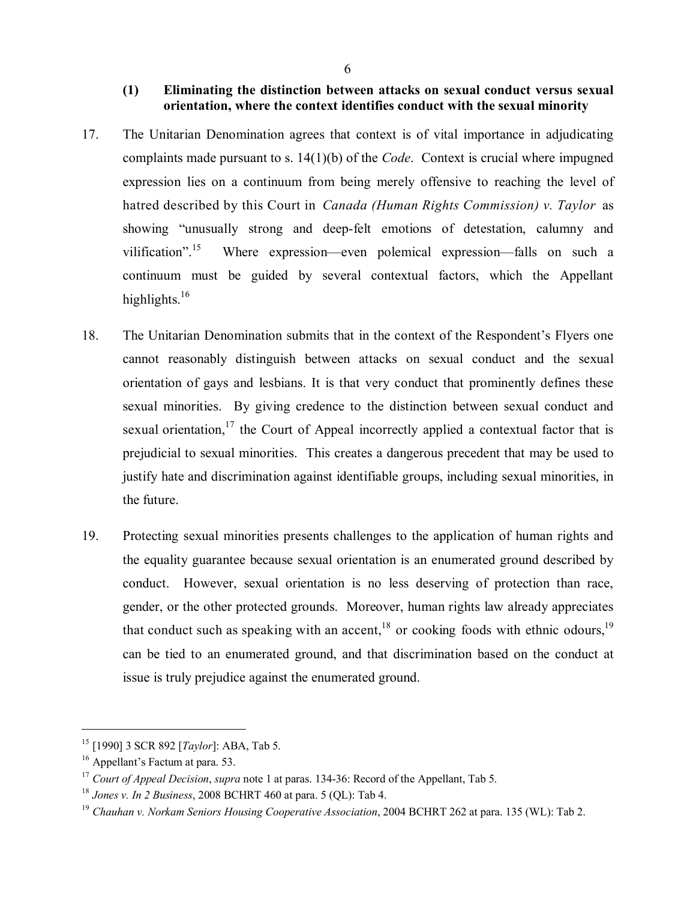## **(1) Eliminating the distinction between attacks on sexual conduct versus sexual orientation, where the context identifies conduct with the sexual minority**

- 17. The Unitarian Denomination agrees that context is of vital importance in adjudicating complaints made pursuant to s. 14(1)(b) of the *Code*. Context is crucial where impugned expression lies on a continuum from being merely offensive to reaching the level of hatred described by this Court in *Canada (Human Rights Commission) v. Taylor* as showing "unusually strong and deep-felt emotions of detestation, calumny and vilification".<sup>15</sup> Where expression—even polemical expression—falls on such a continuum must be guided by several contextual factors, which the Appellant highlights.<sup>16</sup>
- 18. The Unitarian Denomination submits that in the context of the Respondent's Flyers one cannot reasonably distinguish between attacks on sexual conduct and the sexual orientation of gays and lesbians. It is that very conduct that prominently defines these sexual minorities. By giving credence to the distinction between sexual conduct and sexual orientation,<sup>17</sup> the Court of Appeal incorrectly applied a contextual factor that is prejudicial to sexual minorities. This creates a dangerous precedent that may be used to justify hate and discrimination against identifiable groups, including sexual minorities, in the future.
- 19. Protecting sexual minorities presents challenges to the application of human rights and the equality guarantee because sexual orientation is an enumerated ground described by conduct. However, sexual orientation is no less deserving of protection than race, gender, or the other protected grounds. Moreover, human rights law already appreciates that conduct such as speaking with an accent,  $18$  or cooking foods with ethnic odours,  $19$ can be tied to an enumerated ground, and that discrimination based on the conduct at issue is truly prejudice against the enumerated ground.

<sup>15</sup> [1990] 3 SCR 892 [*Taylor*]: ABA, Tab 5.

<sup>&</sup>lt;sup>16</sup> Appellant's Factum at para. 53.

<sup>17</sup> *Court of Appeal Decision*, *supra* note 1 at paras. 134-36: Record of the Appellant, Tab 5.

<sup>18</sup> *Jones v. In 2 Business*, 2008 BCHRT 460 at para. 5 (QL): Tab 4.

<sup>19</sup> *Chauhan v. Norkam Seniors Housing Cooperative Association*, 2004 BCHRT 262 at para. 135 (WL): Tab 2.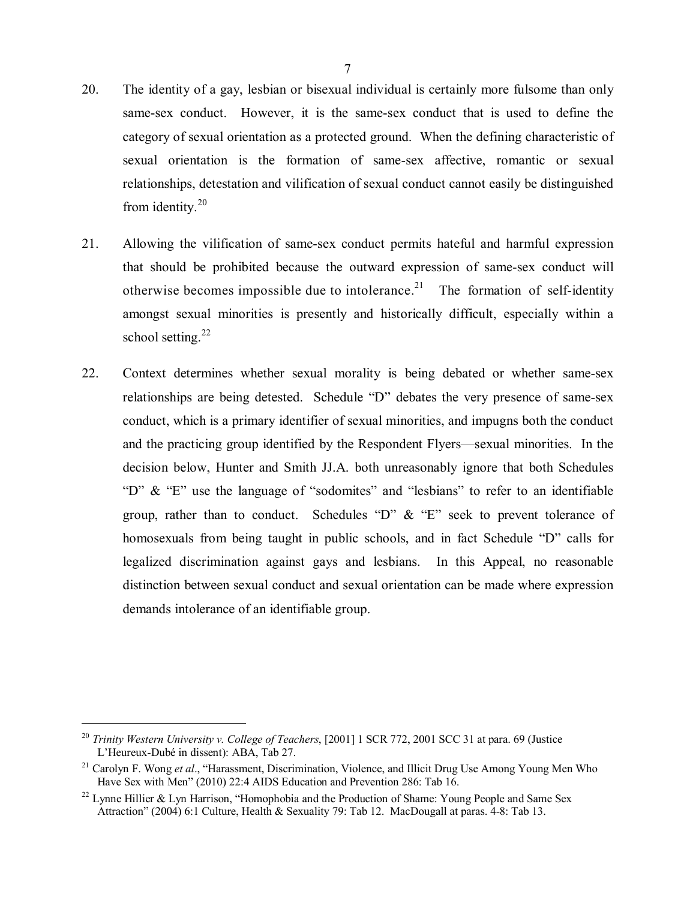- 20. The identity of a gay, lesbian or bisexual individual is certainly more fulsome than only same-sex conduct. However, it is the same-sex conduct that is used to define the category of sexual orientation as a protected ground. When the defining characteristic of sexual orientation is the formation of same-sex affective, romantic or sexual relationships, detestation and vilification of sexual conduct cannot easily be distinguished from identity. $20$
- 21. Allowing the vilification of same-sex conduct permits hateful and harmful expression that should be prohibited because the outward expression of same-sex conduct will otherwise becomes impossible due to intolerance.<sup>21</sup> The formation of self-identity amongst sexual minorities is presently and historically difficult, especially within a school setting.<sup>22</sup>
- 22. Context determines whether sexual morality is being debated or whether same-sex relationships are being detested. Schedule "D" debates the very presence of same-sex conduct, which is a primary identifier of sexual minorities, and impugns both the conduct and the practicing group identified by the Respondent Flyers—sexual minorities. In the decision below, Hunter and Smith JJ.A. both unreasonably ignore that both Schedules "D" & "E" use the language of "sodomites" and "lesbians" to refer to an identifiable group, rather than to conduct. Schedules "D"  $\&$  "E" seek to prevent tolerance of homosexuals from being taught in public schools, and in fact Schedule "D" calls for legalized discrimination against gays and lesbians. In this Appeal, no reasonable distinction between sexual conduct and sexual orientation can be made where expression demands intolerance of an identifiable group.

<sup>20</sup> *Trinity Western University v. College of Teachers*, [2001] 1 SCR 772, 2001 SCC 31 at para. 69 (Justice L'Heureux-Dubé in dissent): ABA, Tab 27.

<sup>21</sup> Carolyn F. Wong *et al*., "Harassment, Discrimination, Violence, and Illicit Drug Use Among Young Men Who Have Sex with Men" (2010) 22:4 AIDS Education and Prevention 286: Tab 16.

<sup>&</sup>lt;sup>22</sup> Lynne Hillier & Lyn Harrison, "Homophobia and the Production of Shame: Young People and Same Sex Attraction" (2004) 6:1 Culture, Health & Sexuality 79: Tab 12. MacDougall at paras. 4-8: Tab 13.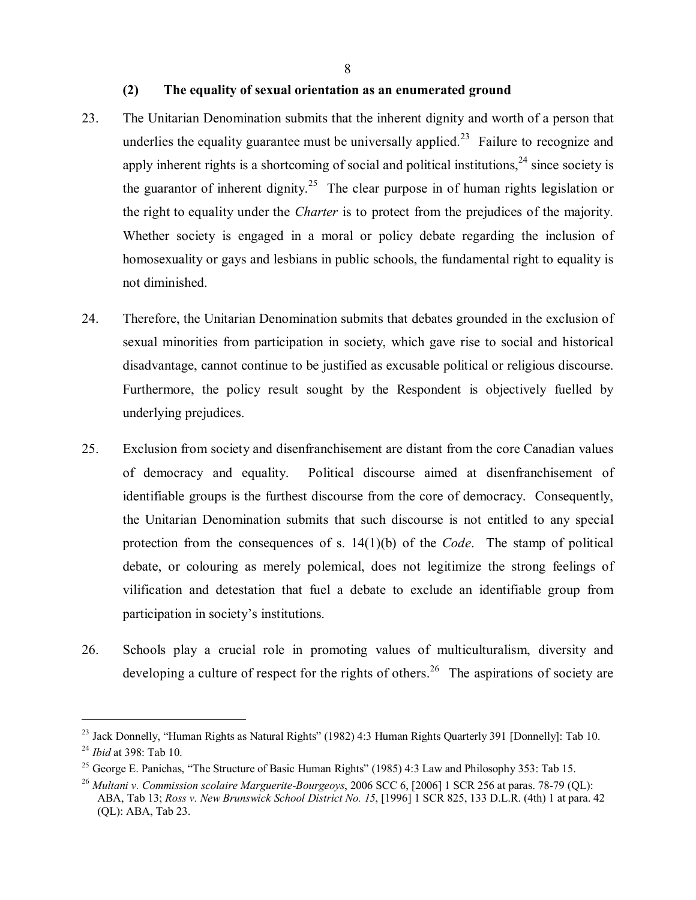## **(2) The equality of sexual orientation as an enumerated ground**

- 23. The Unitarian Denomination submits that the inherent dignity and worth of a person that underlies the equality guarantee must be universally applied.<sup>23</sup> Failure to recognize and apply inherent rights is a shortcoming of social and political institutions,<sup>24</sup> since society is the guarantor of inherent dignity.<sup>25</sup> The clear purpose in of human rights legislation or the right to equality under the *Charter* is to protect from the prejudices of the majority. Whether society is engaged in a moral or policy debate regarding the inclusion of homosexuality or gays and lesbians in public schools, the fundamental right to equality is not diminished.
- 24. Therefore, the Unitarian Denomination submits that debates grounded in the exclusion of sexual minorities from participation in society, which gave rise to social and historical disadvantage, cannot continue to be justified as excusable political or religious discourse. Furthermore, the policy result sought by the Respondent is objectively fuelled by underlying prejudices.
- 25. Exclusion from society and disenfranchisement are distant from the core Canadian values of democracy and equality. Political discourse aimed at disenfranchisement of identifiable groups is the furthest discourse from the core of democracy. Consequently, the Unitarian Denomination submits that such discourse is not entitled to any special protection from the consequences of s. 14(1)(b) of the *Code*. The stamp of political debate, or colouring as merely polemical, does not legitimize the strong feelings of vilification and detestation that fuel a debate to exclude an identifiable group from participation in society's institutions.
- 26. Schools play a crucial role in promoting values of multiculturalism, diversity and developing a culture of respect for the rights of others.<sup>26</sup> The aspirations of society are

<sup>&</sup>lt;sup>23</sup> Jack Donnelly, "Human Rights as Natural Rights" (1982) 4:3 Human Rights Quarterly 391 [Donnelly]: Tab 10. 24 *Ibid* at 398: Tab 10.

<sup>&</sup>lt;sup>25</sup> George E. Panichas, "The Structure of Basic Human Rights" (1985) 4:3 Law and Philosophy 353: Tab 15.

<sup>26</sup> *Multani v. Commission scolaire Marguerite-Bourgeoys*, 2006 SCC 6, [2006] 1 SCR 256 at paras. 78-79 (QL): ABA, Tab 13; *Ross v. New Brunswick School District No. 15*, [1996] 1 SCR 825, 133 D.L.R. (4th) 1 at para. 42 (QL): ABA, Tab 23.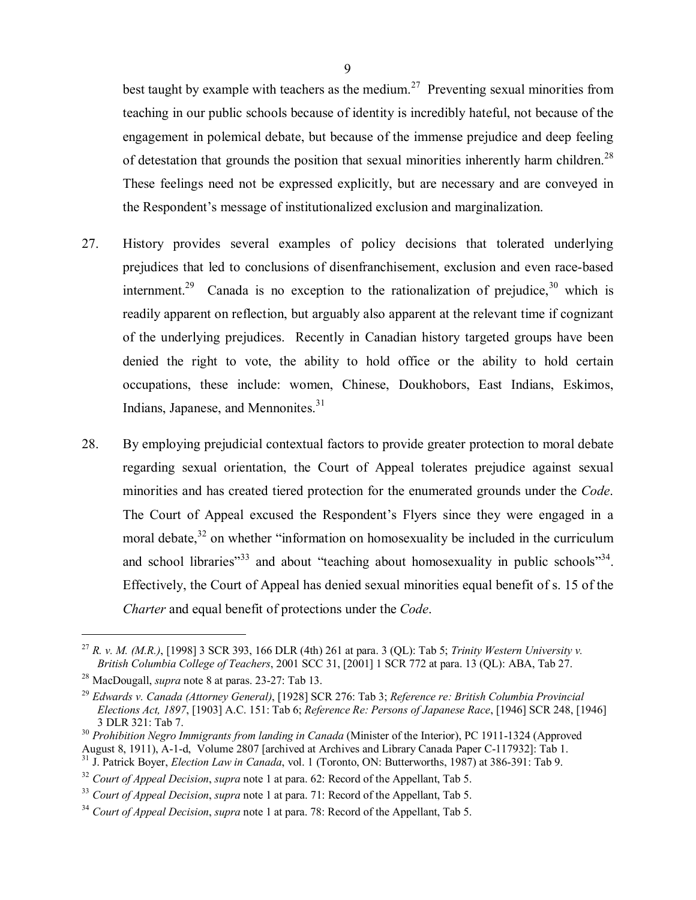best taught by example with teachers as the medium.<sup>27</sup> Preventing sexual minorities from teaching in our public schools because of identity is incredibly hateful, not because of the engagement in polemical debate, but because of the immense prejudice and deep feeling of detestation that grounds the position that sexual minorities inherently harm children.<sup>28</sup> These feelings need not be expressed explicitly, but are necessary and are conveyed in the Respondent's message of institutionalized exclusion and marginalization.

- 27. History provides several examples of policy decisions that tolerated underlying prejudices that led to conclusions of disenfranchisement, exclusion and even race-based internment.<sup>29</sup> Canada is no exception to the rationalization of prejudice, <sup>30</sup> which is readily apparent on reflection, but arguably also apparent at the relevant time if cognizant of the underlying prejudices. Recently in Canadian history targeted groups have been denied the right to vote, the ability to hold office or the ability to hold certain occupations, these include: women, Chinese, Doukhobors, East Indians, Eskimos, Indians, Japanese, and Mennonites.<sup>31</sup>
- 28. By employing prejudicial contextual factors to provide greater protection to moral debate regarding sexual orientation, the Court of Appeal tolerates prejudice against sexual minorities and has created tiered protection for the enumerated grounds under the *Code*. The Court of Appeal excused the Respondent's Flyers since they were engaged in a moral debate, $32$  on whether "information on homosexuality be included in the curriculum and school libraries"<sup>33</sup> and about "teaching about homosexuality in public schools"<sup>34</sup>. Effectively, the Court of Appeal has denied sexual minorities equal benefit of s. 15 of the *Charter* and equal benefit of protections under the *Code*.

<sup>27</sup> *R. v. M. (M.R.)*, [1998] 3 SCR 393, 166 DLR (4th) 261 at para. 3 (QL): Tab 5; *Trinity Western University v. British Columbia College of Teachers*, 2001 SCC 31, [2001] 1 SCR 772 at para. 13 (QL): ABA, Tab 27.

<sup>28</sup> MacDougall, *supra* note 8 at paras. 23-27: Tab 13.

<sup>29</sup> *Edwards v. Canada (Attorney General)*, [1928] SCR 276: Tab 3; *Reference re: British Columbia Provincial Elections Act, 1897*, [1903] A.C. 151: Tab 6; *Reference Re: Persons of Japanese Race*, [1946] SCR 248, [1946] 3 DLR 321: Tab 7.

<sup>30</sup> *Prohibition Negro Immigrants from landing in Canada* (Minister of the Interior), PC 1911-1324 (Approved

August 8, 1911), A-1-d, Volume 2807 [archived at Archives and Library Canada Paper C-117932]: Tab 1.<br><sup>31</sup> J. Patrick Boyer, *Election Law in Canada*, vol. 1 (Toronto, ON: Butterworths, 1987) at 386-391: Tab 9.

<sup>32</sup> *Court of Appeal Decision*, *supra* note 1 at para. 62: Record of the Appellant, Tab 5.

<sup>33</sup> *Court of Appeal Decision*, *supra* note 1 at para. 71: Record of the Appellant, Tab 5.

<sup>34</sup> *Court of Appeal Decision*, *supra* note 1 at para. 78: Record of the Appellant, Tab 5.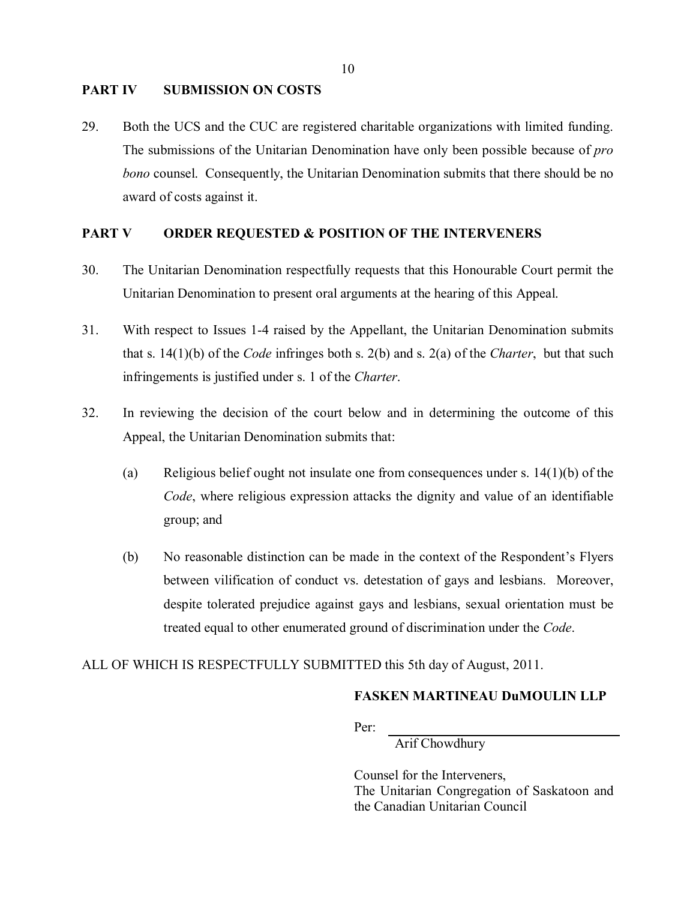#### **PART IV SUBMISSION ON COSTS**

29. Both the UCS and the CUC are registered charitable organizations with limited funding. The submissions of the Unitarian Denomination have only been possible because of *pro bono* counsel. Consequently, the Unitarian Denomination submits that there should be no award of costs against it.

#### **PART V ORDER REQUESTED & POSITION OF THE INTERVENERS**

- 30. The Unitarian Denomination respectfully requests that this Honourable Court permit the Unitarian Denomination to present oral arguments at the hearing of this Appeal.
- 31. With respect to Issues 1-4 raised by the Appellant, the Unitarian Denomination submits that s. 14(1)(b) of the *Code* infringes both s. 2(b) and s. 2(a) of the *Charter*, but that such infringements is justified under s. 1 of the *Charter*.
- 32. In reviewing the decision of the court below and in determining the outcome of this Appeal, the Unitarian Denomination submits that:
	- (a) Religious belief ought not insulate one from consequences under s.  $14(1)(b)$  of the *Code*, where religious expression attacks the dignity and value of an identifiable group; and
	- (b) No reasonable distinction can be made in the context of the Respondent's Flyers between vilification of conduct vs. detestation of gays and lesbians. Moreover, despite tolerated prejudice against gays and lesbians, sexual orientation must be treated equal to other enumerated ground of discrimination under the *Code*.

### ALL OF WHICH IS RESPECTFULLY SUBMITTED this 5th day of August, 2011.

## **FASKEN MARTINEAU DuMOULIN LLP**

Per:

Arif Chowdhury

Counsel for the Interveners, The Unitarian Congregation of Saskatoon and the Canadian Unitarian Council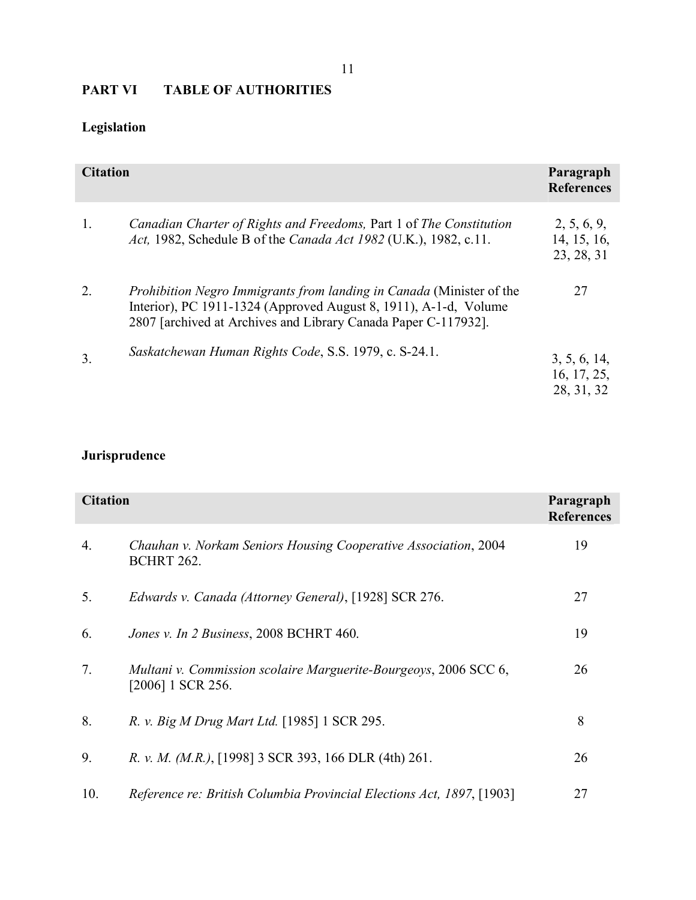# **PART VI TABLE OF AUTHORITIES**

# **Legislation**

| <b>Citation</b> |                                                                                                                                                                                                                   | Paragraph<br><b>References</b>            |
|-----------------|-------------------------------------------------------------------------------------------------------------------------------------------------------------------------------------------------------------------|-------------------------------------------|
| 1.              | Canadian Charter of Rights and Freedoms, Part 1 of The Constitution<br>Act, 1982, Schedule B of the Canada Act 1982 (U.K.), 1982, c.11.                                                                           | 2, 5, 6, 9,<br>14, 15, 16,<br>23, 28, 31  |
| 2.              | <i>Prohibition Negro Immigrants from landing in Canada</i> (Minister of the<br>Interior), PC 1911-1324 (Approved August 8, 1911), A-1-d, Volume<br>2807 [archived at Archives and Library Canada Paper C-117932]. | 27                                        |
| 3.              | Saskatchewan Human Rights Code, S.S. 1979, c. S-24.1.                                                                                                                                                             | 3, 5, 6, 14,<br>16, 17, 25,<br>28, 31, 32 |

# **Jurisprudence**

| <b>Citation</b> |                                                                                       | Paragraph<br><b>References</b> |
|-----------------|---------------------------------------------------------------------------------------|--------------------------------|
| 4.              | Chauhan v. Norkam Seniors Housing Cooperative Association, 2004<br><b>BCHRT 262.</b>  | 19                             |
| 5.              | Edwards v. Canada (Attorney General), [1928] SCR 276.                                 | 27                             |
| 6.              | Jones v. In 2 Business, 2008 BCHRT 460.                                               | 19                             |
| 7.              | Multani v. Commission scolaire Marguerite-Bourgeoys, 2006 SCC 6,<br>[2006] 1 SCR 256. | 26                             |
| 8.              | R. v. Big M Drug Mart Ltd. [1985] 1 SCR 295.                                          | 8                              |
| 9.              | R. v. M. (M.R.), [1998] 3 SCR 393, 166 DLR (4th) 261.                                 | 26                             |
| 10.             | Reference re: British Columbia Provincial Elections Act, 1897, [1903]                 | 27                             |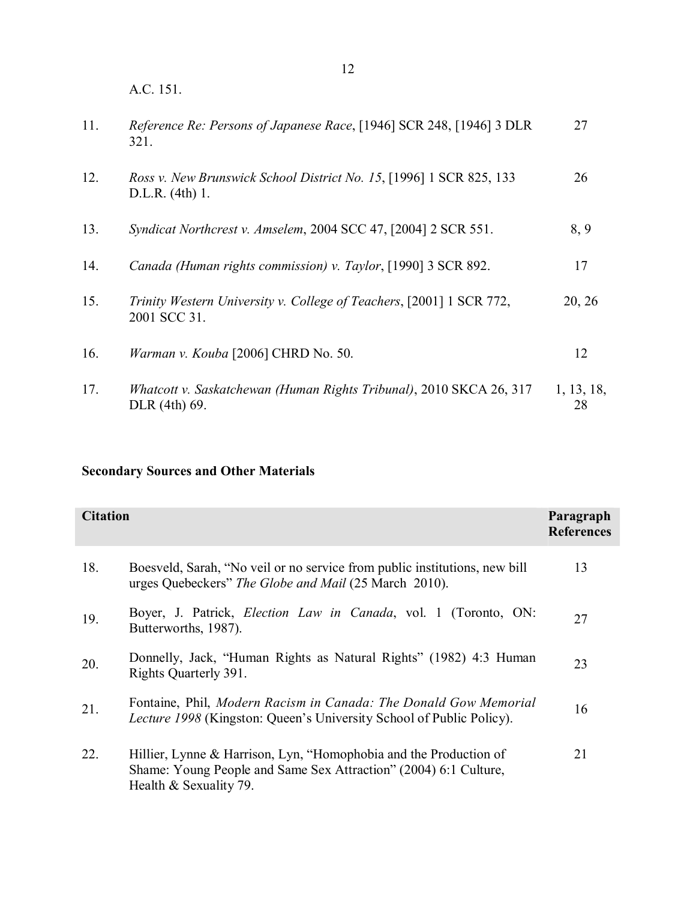A.C. 151.

| 11. | Reference Re: Persons of Japanese Race, [1946] SCR 248, [1946] 3 DLR<br>321.             | 27               |
|-----|------------------------------------------------------------------------------------------|------------------|
| 12. | Ross v. New Brunswick School District No. 15, [1996] 1 SCR 825, 133<br>$D.L.R.$ (4th) 1. | 26               |
| 13. | Syndicat Northcrest v. Amselem, 2004 SCC 47, [2004] 2 SCR 551.                           | 8,9              |
| 14. | Canada (Human rights commission) v. Taylor, [1990] 3 SCR 892.                            | 17               |
| 15. | Trinity Western University v. College of Teachers, [2001] 1 SCR 772,<br>2001 SCC 31.     | 20, 26           |
| 16. | Warman v. Kouba [2006] CHRD No. 50.                                                      | 12               |
| 17. | Whatcott v. Saskatchewan (Human Rights Tribunal), 2010 SKCA 26, 317<br>DLR (4th) 69.     | 1, 13, 18,<br>28 |

# **Secondary Sources and Other Materials**

| <b>Citation</b> |                                                                                                                                                                   | Paragraph<br><b>References</b> |
|-----------------|-------------------------------------------------------------------------------------------------------------------------------------------------------------------|--------------------------------|
| 18.             | Boesveld, Sarah, "No veil or no service from public institutions, new bill<br>urges Quebeckers" The Globe and Mail (25 March 2010).                               | 13                             |
| 19.             | Boyer, J. Patrick, <i>Election Law in Canada</i> , vol. 1 (Toronto, ON:<br>Butterworths, 1987).                                                                   | 27                             |
| 20.             | Donnelly, Jack, "Human Rights as Natural Rights" (1982) 4:3 Human<br>Rights Quarterly 391.                                                                        | 23                             |
| 21.             | Fontaine, Phil, Modern Racism in Canada: The Donald Gow Memorial<br><i>Lecture 1998</i> (Kingston: Queen's University School of Public Policy).                   | 16                             |
| 22.             | Hillier, Lynne & Harrison, Lyn, "Homophobia and the Production of<br>Shame: Young People and Same Sex Attraction" (2004) 6:1 Culture,<br>Health $&$ Sexuality 79. | 21                             |

12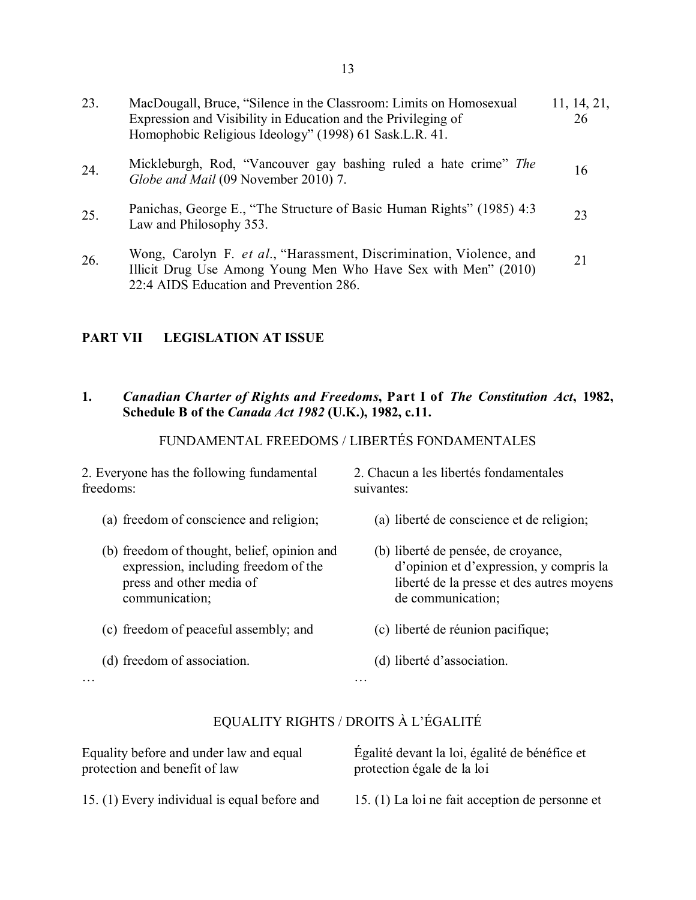| 23. | MacDougall, Bruce, "Silence in the Classroom: Limits on Homosexual<br>Expression and Visibility in Education and the Privileging of<br>Homophobic Religious Ideology" (1998) 61 Sask.L.R. 41. | 11, 14, 21,<br>26 |
|-----|-----------------------------------------------------------------------------------------------------------------------------------------------------------------------------------------------|-------------------|
| 24. | Mickleburgh, Rod, "Vancouver gay bashing ruled a hate crime" The<br>Globe and Mail (09 November 2010) 7.                                                                                      | 16                |
| 25. | Panichas, George E., "The Structure of Basic Human Rights" (1985) 4:3<br>Law and Philosophy 353.                                                                                              | 23                |
| 26. | Wong, Carolyn F. et al., "Harassment, Discrimination, Violence, and<br>Illicit Drug Use Among Young Men Who Have Sex with Men" (2010)<br>22:4 AIDS Education and Prevention 286.              | 21                |

# **PART VII LEGISLATION AT ISSUE**

# **1.** *Canadian Charter of Rights and Freedoms***, Part I of** *The Constitution Act***, 1982, Schedule B of the** *Canada Act 1982* **(U.K.), 1982, c.11.**

# FUNDAMENTAL FREEDOMS / LIBERTÉS FONDAMENTALES

2. Everyone has the following fundamental freedoms:

- (a) freedom of conscience and religion;
- (b) freedom of thought, belief, opinion and expression, including freedom of the press and other media of communication;
- (c) freedom of peaceful assembly; and
- (d) freedom of association.

2. Chacun a les libertés fondamentales suivantes:

- (a) liberté de conscience et de religion;
- (b) liberté de pensée, de croyance, d'opinion et d'expression, y compris la liberté de la presse et des autres moyens de communication;
- (c) liberté de réunion pacifique;
- (d) liberté d'association.

…

# EQUALITY RIGHTS / DROITS À L'ÉGALITÉ

…

| Equality before and under law and equal      | Égalité devant la loi, égalité de bénéfice et   |
|----------------------------------------------|-------------------------------------------------|
| protection and benefit of law                | protection égale de la loi                      |
| 15. (1) Every individual is equal before and | 15. (1) La loi ne fait acception de personne et |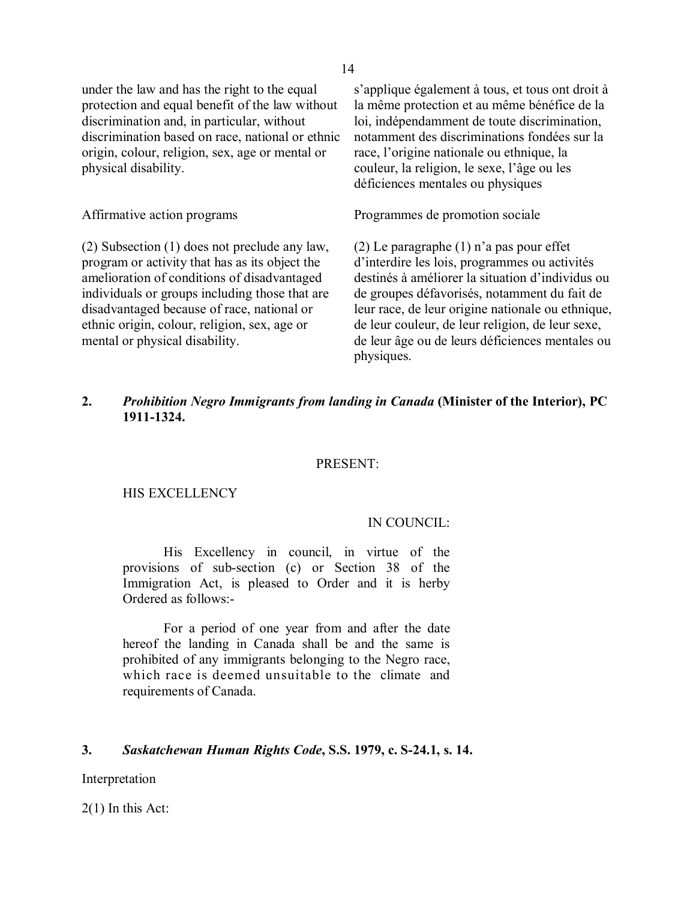under the law and has the right to the equal protection and equal benefit of the law without discrimination and, in particular, without discrimination based on race, national or ethnic origin, colour, religion, sex, age or mental or physical disability.

(2) Subsection (1) does not preclude any law, program or activity that has as its object the amelioration of conditions of disadvantaged individuals or groups including those that are disadvantaged because of race, national or ethnic origin, colour, religion, sex, age or mental or physical disability.

s'applique également à tous, et tous ont droit à la même protection et au même bénéfice de la loi, indépendamment de toute discrimination, notamment des discriminations fondées sur la race, l'origine nationale ou ethnique, la couleur, la religion, le sexe, l'âge ou les déficiences mentales ou physiques

Affirmative action programs Programmes de promotion sociale

(2) Le paragraphe (1) n'a pas pour effet d'interdire les lois, programmes ou activités destinés à améliorer la situation d'individus ou de groupes défavorisés, notamment du fait de leur race, de leur origine nationale ou ethnique, de leur couleur, de leur religion, de leur sexe, de leur âge ou de leurs déficiences mentales ou physiques.

## **2.** *Prohibition Negro Immigrants from landing in Canada* **(Minister of the Interior), PC 1911-1324.**

### PRESENT:

#### HIS EXCELLENCY

#### IN COUNCIL:

His Excellency in council, in virtue of the provisions of sub-section (c) or Section 38 of the Immigration Act, is pleased to Order and it is herby Ordered as follows:-

For a period of one year from and after the date hereof the landing in Canada shall be and the same is prohibited of any immigrants belonging to the Negro race, which race is deemed unsuitable to the climate and requirements of Canada.

#### **3.** *Saskatchewan Human Rights Code***, S.S. 1979, c. S-24.1, s. 14.**

Interpretation

2(1) In this Act: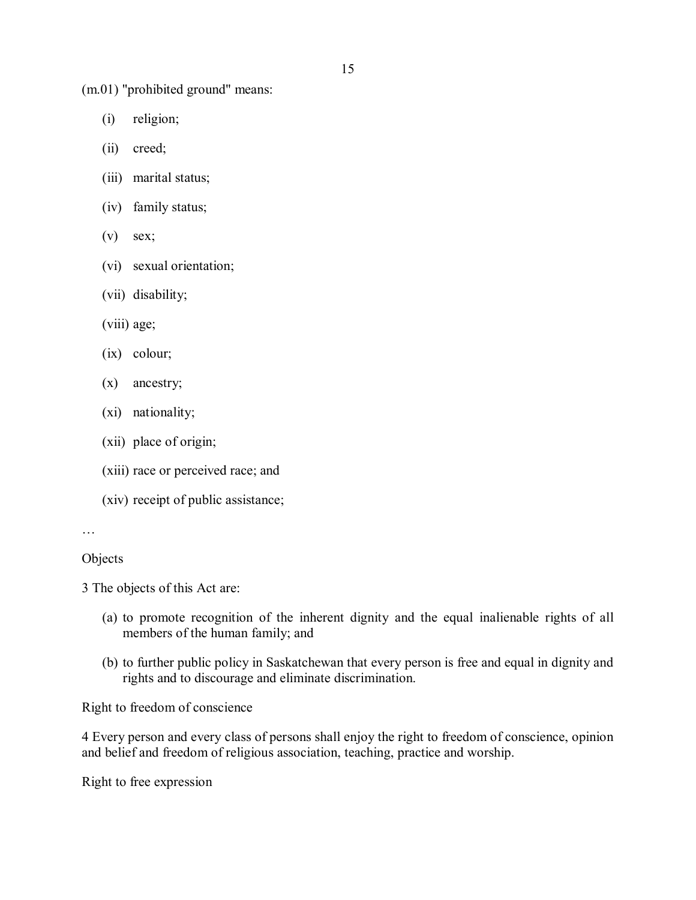(m.01) "prohibited ground" means:

- (i) religion;
- (ii) creed;
- (iii) marital status;
- (iv) family status;
- $(v)$  sex;
- (vi) sexual orientation;
- (vii) disability;
- (viii) age;
- (ix) colour;
- (x) ancestry;
- (xi) nationality;
- (xii) place of origin;
- (xiii) race or perceived race; and
- (xiv) receipt of public assistance;

```
…
```
## **Objects**

3 The objects of this Act are:

- (a) to promote recognition of the inherent dignity and the equal inalienable rights of all members of the human family; and
- (b) to further public policy in Saskatchewan that every person is free and equal in dignity and rights and to discourage and eliminate discrimination.

Right to freedom of conscience

4 Every person and every class of persons shall enjoy the right to freedom of conscience, opinion and belief and freedom of religious association, teaching, practice and worship.

Right to free expression